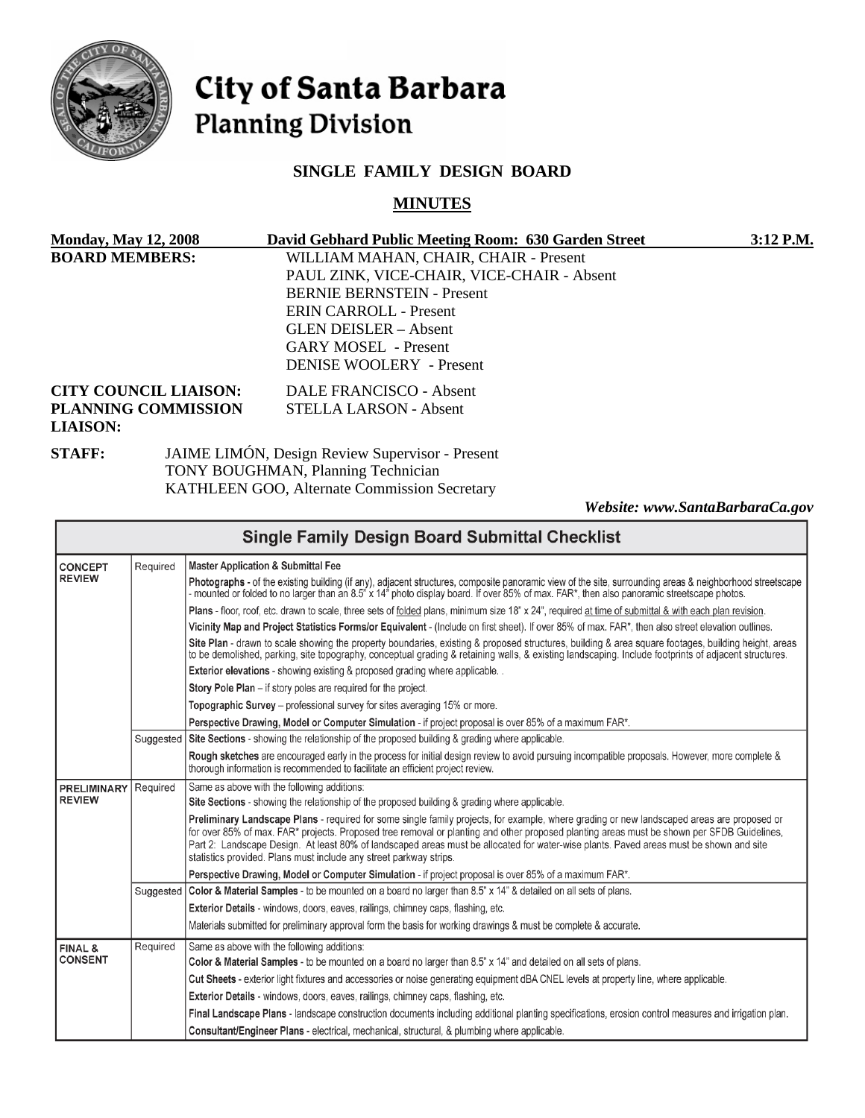

# City of Santa Barbara **Planning Division**

# **SINGLE FAMILY DESIGN BOARD**

# **MINUTES**

| <b>Monday, May 12, 2008</b>  |  | David Gebhard Public Meeting Room: 630 Garden Street   | $3:12$ P.M. |
|------------------------------|--|--------------------------------------------------------|-------------|
| <b>BOARD MEMBERS:</b>        |  | WILLIAM MAHAN, CHAIR, CHAIR - Present                  |             |
|                              |  | PAUL ZINK, VICE-CHAIR, VICE-CHAIR - Absent             |             |
|                              |  | <b>BERNIE BERNSTEIN - Present</b>                      |             |
|                              |  | ERIN CARROLL - Present                                 |             |
|                              |  | GLEN DEISLER – Absent                                  |             |
|                              |  | <b>GARY MOSEL</b> - Present                            |             |
|                              |  | <b>DENISE WOOLERY</b> - Present                        |             |
| <b>CITY COUNCIL LIAISON:</b> |  | DALE FRANCISCO - Absent                                |             |
| <b>PLANNING COMMISSION</b>   |  | STELLA LARSON - Absent                                 |             |
| <b>LIAISON:</b>              |  |                                                        |             |
| <b>STAFF:</b>                |  | <b>JAIME LIMÓN, Design Review Supervisor - Present</b> |             |
|                              |  | <b>TONY ROUGHMAN Planning Technician</b>               |             |

TONY BOUGHMAN, Planning Technician KATHLEEN GOO, Alternate Commission Secretary

*Website: www.SantaBarbaraCa.gov*

|                                                                               |          | <b>Single Family Design Board Submittal Checklist</b>                                                                                                                                                                                                                                                                                                                                                                                                                                                    |
|-------------------------------------------------------------------------------|----------|----------------------------------------------------------------------------------------------------------------------------------------------------------------------------------------------------------------------------------------------------------------------------------------------------------------------------------------------------------------------------------------------------------------------------------------------------------------------------------------------------------|
| Required<br><b>CONCEPT</b>                                                    |          | <b>Master Application &amp; Submittal Fee</b>                                                                                                                                                                                                                                                                                                                                                                                                                                                            |
| <b>REVIEW</b>                                                                 |          | Photographs - of the existing building (if any), adjacent structures, composite panoramic view of the site, surrounding areas & neighborhood streetscape<br>- mounted or folded to no larger than an 8.5" x 14" photo display board. If over 85% of max. FAR*, then also panoramic streetscape photos.                                                                                                                                                                                                   |
|                                                                               |          | Plans - floor, roof, etc. drawn to scale, three sets of folded plans, minimum size 18" x 24", required at time of submittal & with each plan revision.                                                                                                                                                                                                                                                                                                                                                   |
|                                                                               |          | Vicinity Map and Project Statistics Forms/or Equivalent - (Include on first sheet). If over 85% of max. FAR*, then also street elevation outlines.                                                                                                                                                                                                                                                                                                                                                       |
|                                                                               |          | Site Plan - drawn to scale showing the property boundaries, existing & proposed structures, building & area square footages, building height, areas<br>to be demolished, parking, site topography, conceptual grading & retaining walls, & existing landscaping. Include footprints of adiacent structures,                                                                                                                                                                                              |
|                                                                               |          | <b>Exterior elevations</b> - showing existing & proposed grading where applicable                                                                                                                                                                                                                                                                                                                                                                                                                        |
|                                                                               |          | Story Pole Plan - if story poles are required for the project.                                                                                                                                                                                                                                                                                                                                                                                                                                           |
|                                                                               |          | Topographic Survey - professional survey for sites averaging 15% or more.                                                                                                                                                                                                                                                                                                                                                                                                                                |
|                                                                               |          | Perspective Drawing, Model or Computer Simulation - if project proposal is over 85% of a maximum FAR*.                                                                                                                                                                                                                                                                                                                                                                                                   |
|                                                                               |          | Suggested   Site Sections - showing the relationship of the proposed building & grading where applicable.                                                                                                                                                                                                                                                                                                                                                                                                |
|                                                                               |          | Rough sketches are encouraged early in the process for initial design review to avoid pursuing incompatible proposals. However, more complete &<br>thorough information is recommended to facilitate an efficient project review.                                                                                                                                                                                                                                                                        |
| Same as above with the following additions:<br>Required<br><b>PRELIMINARY</b> |          |                                                                                                                                                                                                                                                                                                                                                                                                                                                                                                          |
| <b>REVIEW</b>                                                                 |          | Site Sections - showing the relationship of the proposed building & grading where applicable.                                                                                                                                                                                                                                                                                                                                                                                                            |
|                                                                               |          | Preliminary Landscape Plans - required for some single family projects, for example, where grading or new landscaped areas are proposed or<br>for over 85% of max. FAR* projects. Proposed tree removal or planting and other proposed planting areas must be shown per SFDB Guidelines,<br>Part 2: Landscape Design. At least 80% of landscaped areas must be allocated for water-wise plants. Paved areas must be shown and site<br>statistics provided. Plans must include any street parkway strips. |
|                                                                               |          | Perspective Drawing, Model or Computer Simulation - if project proposal is over 85% of a maximum FAR*.                                                                                                                                                                                                                                                                                                                                                                                                   |
|                                                                               |          | Suggested   Color & Material Samples - to be mounted on a board no larger than 8.5" x 14" & detailed on all sets of plans.                                                                                                                                                                                                                                                                                                                                                                               |
|                                                                               |          | Exterior Details - windows, doors, eaves, railings, chimney caps, flashing, etc.                                                                                                                                                                                                                                                                                                                                                                                                                         |
|                                                                               |          | Materials submitted for preliminary approval form the basis for working drawings & must be complete & accurate.                                                                                                                                                                                                                                                                                                                                                                                          |
| FINAL &                                                                       | Required | Same as above with the following additions:                                                                                                                                                                                                                                                                                                                                                                                                                                                              |
| <b>CONSENT</b>                                                                |          | Color & Material Samples - to be mounted on a board no larger than 8.5" x 14" and detailed on all sets of plans.                                                                                                                                                                                                                                                                                                                                                                                         |
|                                                                               |          | Cut Sheets - exterior light fixtures and accessories or noise generating equipment dBA CNEL levels at property line, where applicable.                                                                                                                                                                                                                                                                                                                                                                   |
|                                                                               |          | <b>Exterior Details</b> - windows, doors, eaves, railings, chimney caps, flashing, etc.                                                                                                                                                                                                                                                                                                                                                                                                                  |
|                                                                               |          | Final Landscape Plans - landscape construction documents including additional planting specifications, erosion control measures and irrigation plan.                                                                                                                                                                                                                                                                                                                                                     |
|                                                                               |          | Consultant/Engineer Plans - electrical, mechanical, structural, & plumbing where applicable.                                                                                                                                                                                                                                                                                                                                                                                                             |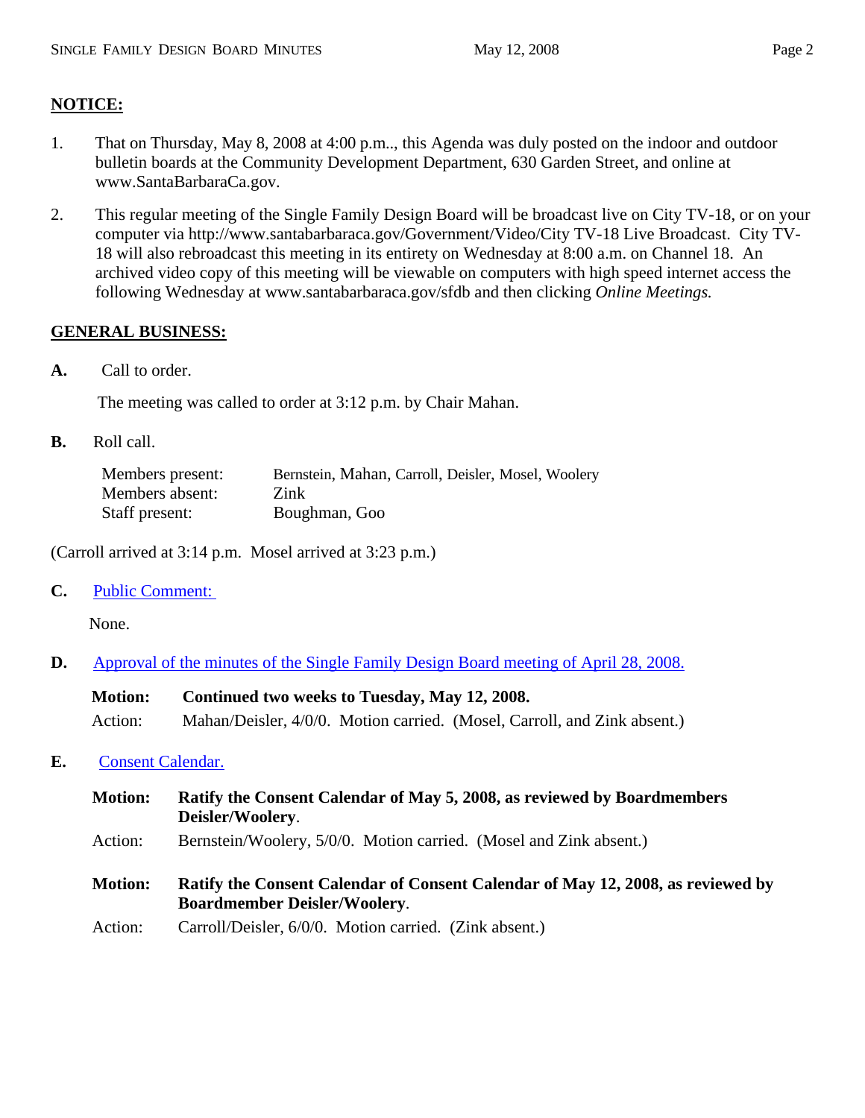# **NOTICE:**

- 1. That on Thursday, May 8, 2008 at 4:00 p.m.., this Agenda was duly posted on the indoor and outdoor bulletin boards at the Community Development Department, 630 Garden Street, and online at www.SantaBarbaraCa.gov.
- 2. This regular meeting of the Single Family Design Board will be broadcast live on City TV-18, or on your computer via http://www.santabarbaraca.gov/Government/Video/City TV-18 Live Broadcast. City TV-18 will also rebroadcast this meeting in its entirety on Wednesday at 8:00 a.m. on Channel 18. An archived video copy of this meeting will be viewable on computers with high speed internet access the following Wednesday at www.santabarbaraca.gov/sfdb and then clicking *Online Meetings.*

# **GENERAL BUSINESS:**

**A.** Call to order.

The meeting was called to order at 3:12 p.m. by Chair Mahan.

**B.** Roll call.

| Members present: | Bernstein, Mahan, Carroll, Deisler, Mosel, Woolery |
|------------------|----------------------------------------------------|
| Members absent:  | Zink                                               |
| Staff present:   | Boughman, Goo                                      |

(Carroll arrived at 3:14 p.m. Mosel arrived at 3:23 p.m.)

**C.** Public Comment:

None.

**D.** Approval of the minutes of the Single Family Design Board meeting of April 28, 2008.

| <b>Motion:</b> | Continued two weeks to Tuesday, May 12, 2008.                            |
|----------------|--------------------------------------------------------------------------|
| Action:        | Mahan/Deisler, 4/0/0. Motion carried. (Mosel, Carroll, and Zink absent.) |

## **E.** Consent Calendar.

- **Motion: Ratify the Consent Calendar of May 5, 2008, as reviewed by Boardmembers Deisler/Woolery**.
- Action: Bernstein/Woolery, 5/0/0. Motion carried. (Mosel and Zink absent.)
- **Motion: Ratify the Consent Calendar of Consent Calendar of May 12, 2008, as reviewed by Boardmember Deisler/Woolery**.
- Action: Carroll/Deisler, 6/0/0. Motion carried. (Zink absent.)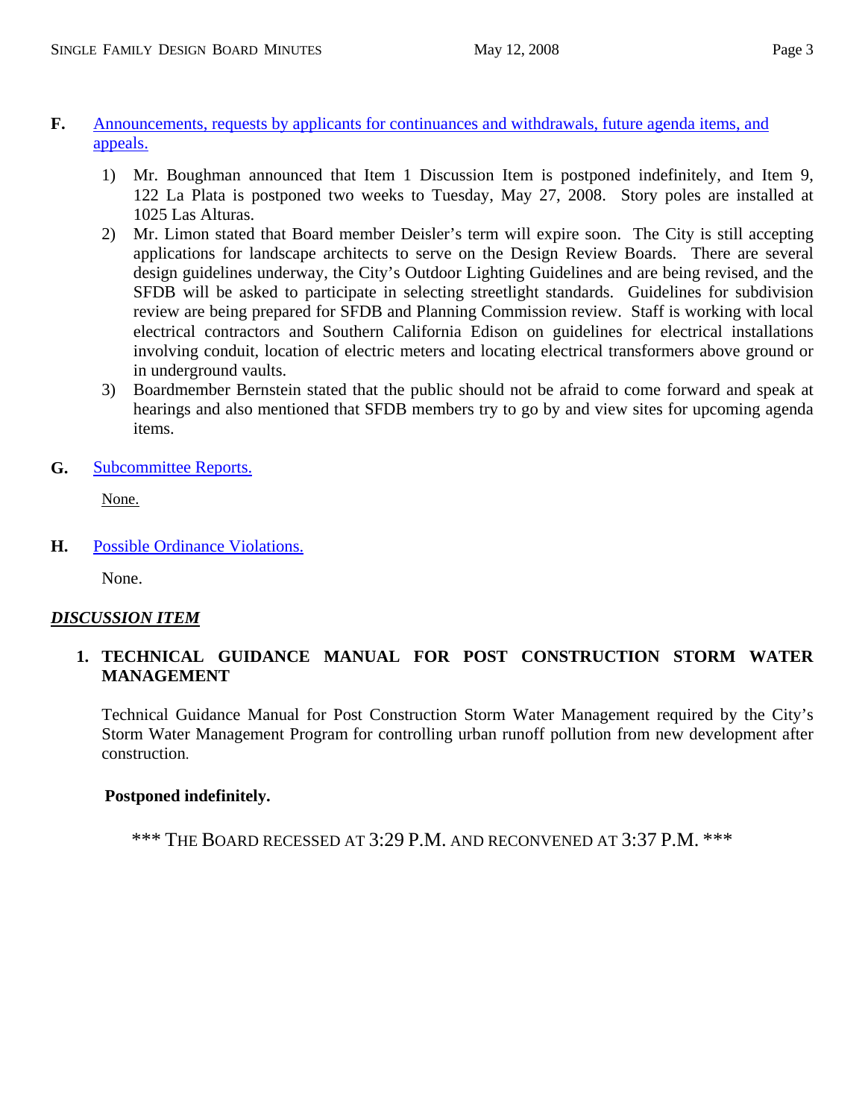- **F.** Announcements, requests by applicants for continuances and withdrawals, future agenda items, and appeals.
	- 1) Mr. Boughman announced that Item 1 Discussion Item is postponed indefinitely, and Item 9, 122 La Plata is postponed two weeks to Tuesday, May 27, 2008. Story poles are installed at 1025 Las Alturas.
	- 2) Mr. Limon stated that Board member Deisler's term will expire soon. The City is still accepting applications for landscape architects to serve on the Design Review Boards. There are several design guidelines underway, the City's Outdoor Lighting Guidelines and are being revised, and the SFDB will be asked to participate in selecting streetlight standards. Guidelines for subdivision review are being prepared for SFDB and Planning Commission review. Staff is working with local electrical contractors and Southern California Edison on guidelines for electrical installations involving conduit, location of electric meters and locating electrical transformers above ground or in underground vaults.
	- 3) Boardmember Bernstein stated that the public should not be afraid to come forward and speak at hearings and also mentioned that SFDB members try to go by and view sites for upcoming agenda items.
- **G.** Subcommittee Reports.

None.

**H.** Possible Ordinance Violations.

None.

## *DISCUSSION ITEM*

# **1. TECHNICAL GUIDANCE MANUAL FOR POST CONSTRUCTION STORM WATER MANAGEMENT**

Technical Guidance Manual for Post Construction Storm Water Management required by the City's Storm Water Management Program for controlling urban runoff pollution from new development after construction.

## **Postponed indefinitely.**

\*\*\* THE BOARD RECESSED AT 3:29 P.M. AND RECONVENED AT 3:37 P.M. \*\*\*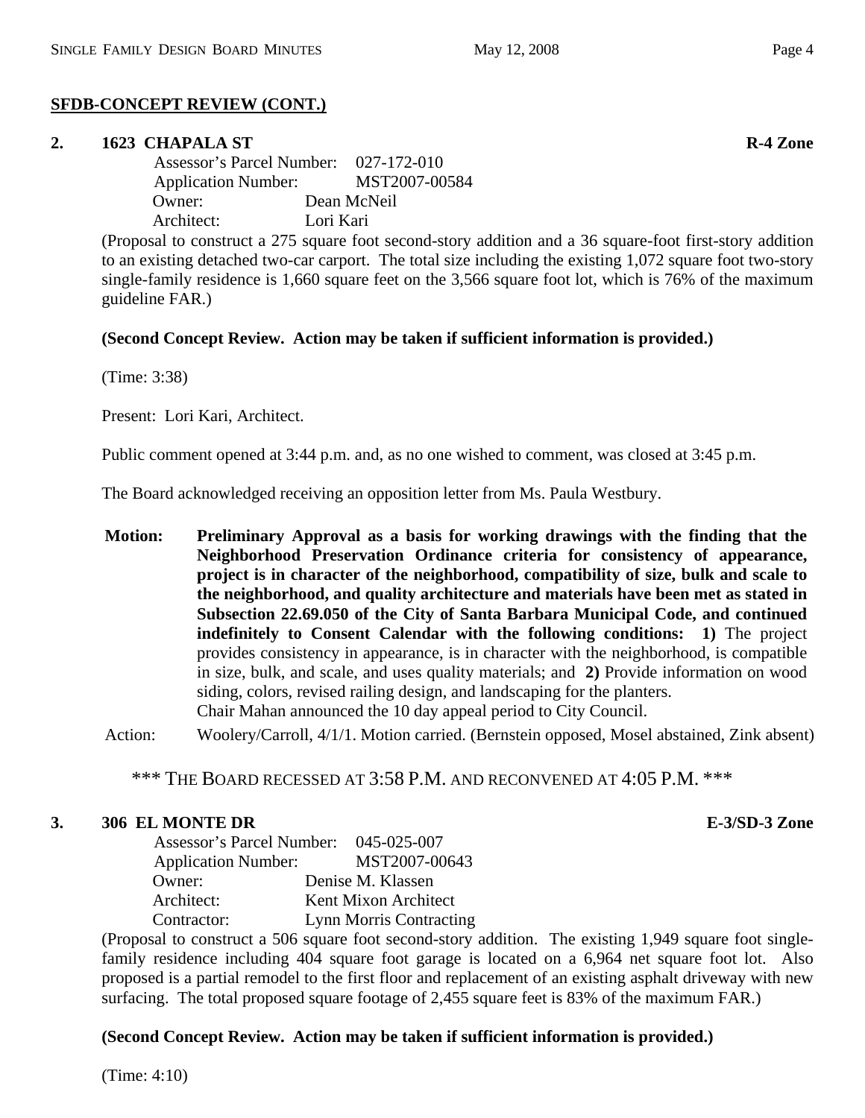# **SFDB-CONCEPT REVIEW (CONT.)**

## **2. 1623 CHAPALA ST R-4 Zone**

 Assessor's Parcel Number: 027-172-010 Application Number: MST2007-00584 Owner: Dean McNeil Architect: Lori Kari

(Proposal to construct a 275 square foot second-story addition and a 36 square-foot first-story addition to an existing detached two-car carport. The total size including the existing 1,072 square foot two-story single-family residence is 1,660 square feet on the 3,566 square foot lot, which is 76% of the maximum guideline FAR.)

# **(Second Concept Review. Action may be taken if sufficient information is provided.)**

(Time: 3:38)

Present: Lori Kari, Architect.

Public comment opened at 3:44 p.m. and, as no one wished to comment, was closed at 3:45 p.m.

The Board acknowledged receiving an opposition letter from Ms. Paula Westbury.

**Motion: Preliminary Approval as a basis for working drawings with the finding that the Neighborhood Preservation Ordinance criteria for consistency of appearance, project is in character of the neighborhood, compatibility of size, bulk and scale to the neighborhood, and quality architecture and materials have been met as stated in Subsection 22.69.050 of the City of Santa Barbara Municipal Code, and continued indefinitely to Consent Calendar with the following conditions: 1)** The project provides consistency in appearance, is in character with the neighborhood, is compatible in size, bulk, and scale, and uses quality materials; and **2)** Provide information on wood siding, colors, revised railing design, and landscaping for the planters. Chair Mahan announced the 10 day appeal period to City Council.

Action: Woolery/Carroll, 4/1/1. Motion carried. (Bernstein opposed, Mosel abstained, Zink absent)

\*\*\* THE BOARD RECESSED AT 3:58 P.M. AND RECONVENED AT 4:05 P.M. \*\*\*

# **3. 306 EL MONTE DR E-3/SD-3 Zone**

 Assessor's Parcel Number: 045-025-007 Application Number: MST2007-00643 Owner: Denise M. Klassen Architect: Kent Mixon Architect Contractor: Lynn Morris Contracting

(Proposal to construct a 506 square foot second-story addition. The existing 1,949 square foot singlefamily residence including 404 square foot garage is located on a 6,964 net square foot lot. Also proposed is a partial remodel to the first floor and replacement of an existing asphalt driveway with new surfacing. The total proposed square footage of 2,455 square feet is 83% of the maximum FAR.)

# **(Second Concept Review. Action may be taken if sufficient information is provided.)**

(Time: 4:10)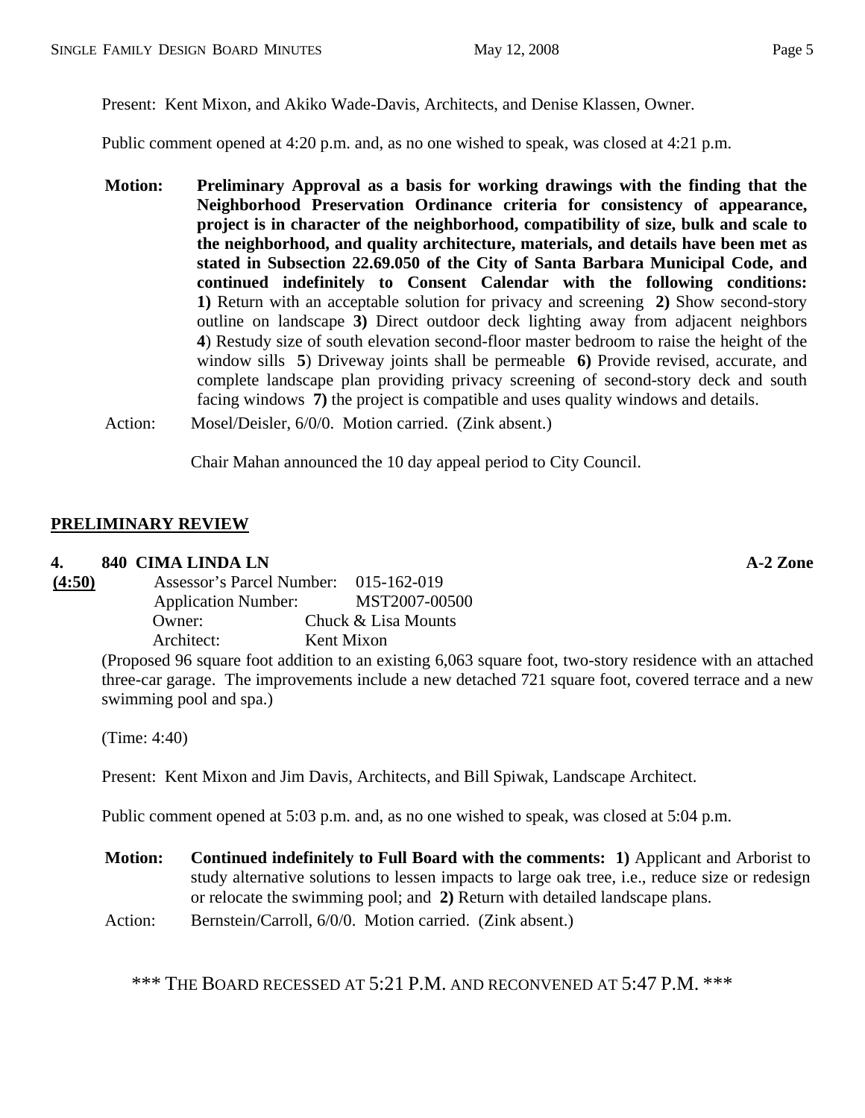Present: Kent Mixon, and Akiko Wade-Davis, Architects, and Denise Klassen, Owner.

Public comment opened at 4:20 p.m. and, as no one wished to speak, was closed at 4:21 p.m.

- **Motion: Preliminary Approval as a basis for working drawings with the finding that the Neighborhood Preservation Ordinance criteria for consistency of appearance, project is in character of the neighborhood, compatibility of size, bulk and scale to the neighborhood, and quality architecture, materials, and details have been met as stated in Subsection 22.69.050 of the City of Santa Barbara Municipal Code, and continued indefinitely to Consent Calendar with the following conditions: 1)** Return with an acceptable solution for privacy and screening **2)** Show second-story outline on landscape **3)** Direct outdoor deck lighting away from adjacent neighbors **4**) Restudy size of south elevation second-floor master bedroom to raise the height of the window sills **5**) Driveway joints shall be permeable **6)** Provide revised, accurate, and complete landscape plan providing privacy screening of second-story deck and south facing windows **7)** the project is compatible and uses quality windows and details.
- Action: Mosel/Deisler, 6/0/0. Motion carried. (Zink absent.)

Chair Mahan announced the 10 day appeal period to City Council.

# **PRELIMINARY REVIEW**

## **4. 840 CIMA LINDA LN A-2 Zone**

**(4:50)** Assessor's Parcel Number: 015-162-019 Application Number: MST2007-00500 Owner: Chuck & Lisa Mounts Architect: Kent Mixon

(Proposed 96 square foot addition to an existing 6,063 square foot, two-story residence with an attached three-car garage. The improvements include a new detached 721 square foot, covered terrace and a new swimming pool and spa.)

(Time: 4:40)

Present: Kent Mixon and Jim Davis, Architects, and Bill Spiwak, Landscape Architect.

Public comment opened at 5:03 p.m. and, as no one wished to speak, was closed at 5:04 p.m.

- **Motion: Continued indefinitely to Full Board with the comments: 1)** Applicant and Arborist to study alternative solutions to lessen impacts to large oak tree, i.e., reduce size or redesign or relocate the swimming pool; and **2)** Return with detailed landscape plans.
- Action: Bernstein/Carroll, 6/0/0. Motion carried. (Zink absent.)

\*\*\* THE BOARD RECESSED AT 5:21 P.M. AND RECONVENED AT 5:47 P.M. \*\*\*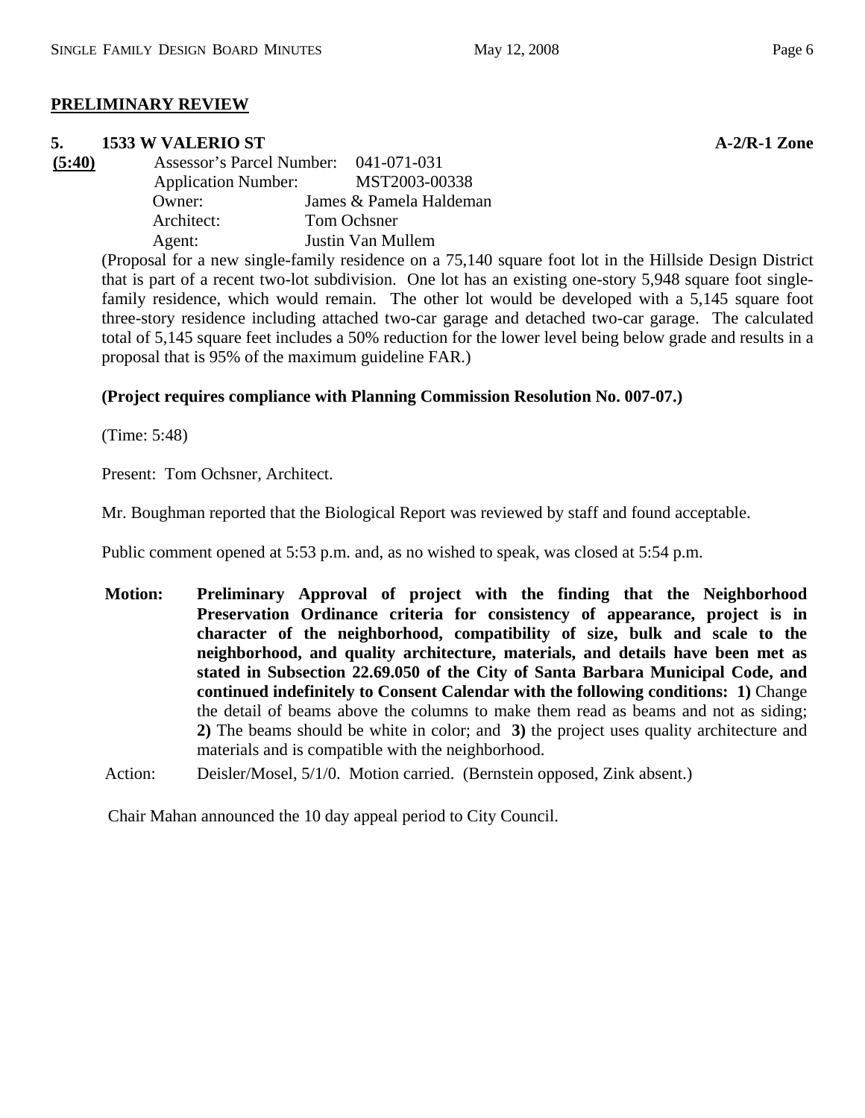# **PRELIMINARY REVIEW**

# **5. 1533 W VALERIO ST A-2/R-1 Zone**

**(5:40)** Assessor's Parcel Number: 041-071-031 Application Number: MST2003-00338 Owner: James & Pamela Haldeman Architect: Tom Ochsner Agent: Justin Van Mullem

(Proposal for a new single-family residence on a 75,140 square foot lot in the Hillside Design District that is part of a recent two-lot subdivision. One lot has an existing one-story 5,948 square foot singlefamily residence, which would remain. The other lot would be developed with a 5,145 square foot three-story residence including attached two-car garage and detached two-car garage. The calculated total of 5,145 square feet includes a 50% reduction for the lower level being below grade and results in a proposal that is 95% of the maximum guideline FAR.)

# **(Project requires compliance with Planning Commission Resolution No. 007-07.)**

(Time: 5:48)

Present: Tom Ochsner, Architect.

Mr. Boughman reported that the Biological Report was reviewed by staff and found acceptable.

Public comment opened at 5:53 p.m. and, as no wished to speak, was closed at 5:54 p.m.

- **Motion: Preliminary Approval of project with the finding that the Neighborhood Preservation Ordinance criteria for consistency of appearance, project is in character of the neighborhood, compatibility of size, bulk and scale to the neighborhood, and quality architecture, materials, and details have been met as stated in Subsection 22.69.050 of the City of Santa Barbara Municipal Code, and continued indefinitely to Consent Calendar with the following conditions: 1)** Change the detail of beams above the columns to make them read as beams and not as siding; **2)** The beams should be white in color; and **3)** the project uses quality architecture and materials and is compatible with the neighborhood.
- Action: Deisler/Mosel, 5/1/0. Motion carried. (Bernstein opposed, Zink absent.)

Chair Mahan announced the 10 day appeal period to City Council.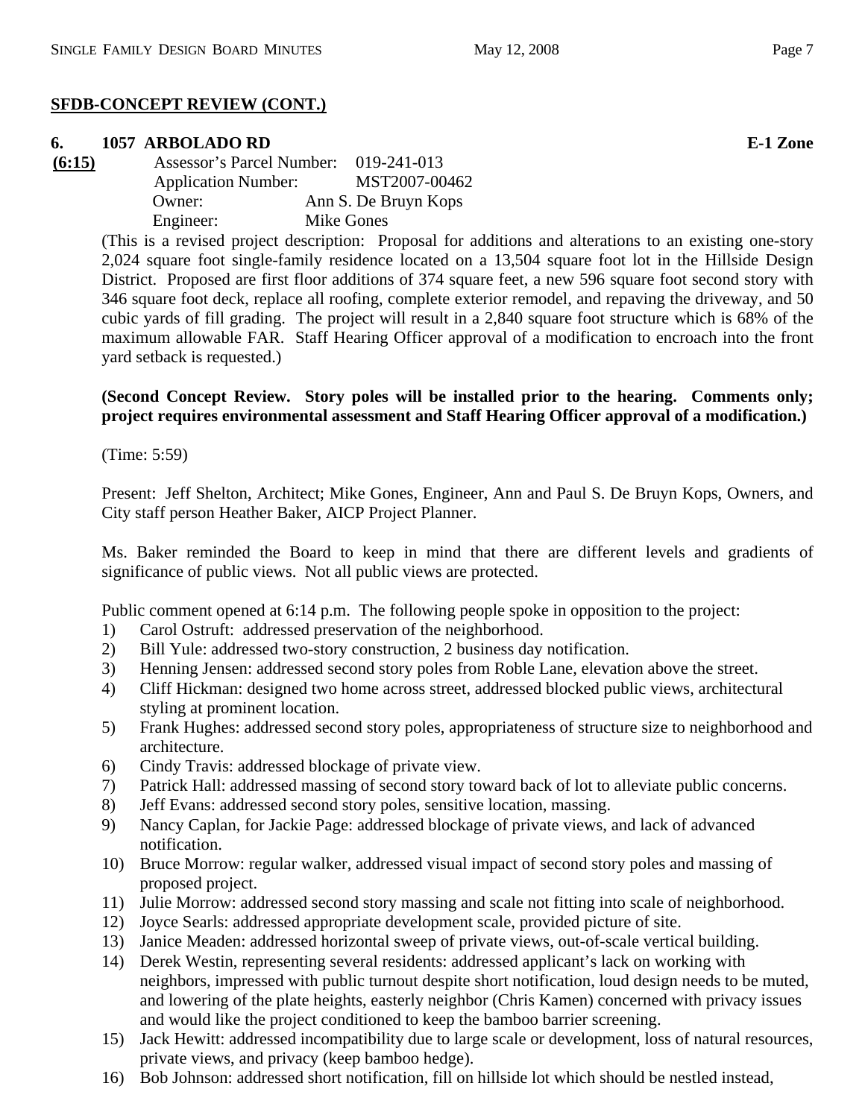# **SFDB-CONCEPT REVIEW (CONT.)**

# **6. 1057 ARBOLADO RD E-1 Zone**

**(6:15)** Assessor's Parcel Number: 019-241-013 Application Number: MST2007-00462 Owner: Ann S. De Bruyn Kops Engineer: Mike Gones

(This is a revised project description: Proposal for additions and alterations to an existing one-story 2,024 square foot single-family residence located on a 13,504 square foot lot in the Hillside Design District. Proposed are first floor additions of 374 square feet, a new 596 square foot second story with 346 square foot deck, replace all roofing, complete exterior remodel, and repaving the driveway, and 50 cubic yards of fill grading. The project will result in a 2,840 square foot structure which is 68% of the maximum allowable FAR. Staff Hearing Officer approval of a modification to encroach into the front yard setback is requested.)

# **(Second Concept Review. Story poles will be installed prior to the hearing. Comments only; project requires environmental assessment and Staff Hearing Officer approval of a modification.)**

(Time: 5:59)

Present: Jeff Shelton, Architect; Mike Gones, Engineer, Ann and Paul S. De Bruyn Kops, Owners, and City staff person Heather Baker, AICP Project Planner.

Ms. Baker reminded the Board to keep in mind that there are different levels and gradients of significance of public views. Not all public views are protected.

Public comment opened at 6:14 p.m. The following people spoke in opposition to the project:

- 1) Carol Ostruft: addressed preservation of the neighborhood.
- 2) Bill Yule: addressed two-story construction, 2 business day notification.
- 3) Henning Jensen: addressed second story poles from Roble Lane, elevation above the street.
- 4) Cliff Hickman: designed two home across street, addressed blocked public views, architectural styling at prominent location.
- 5) Frank Hughes: addressed second story poles, appropriateness of structure size to neighborhood and architecture.
- 6) Cindy Travis: addressed blockage of private view.
- 7) Patrick Hall: addressed massing of second story toward back of lot to alleviate public concerns.
- 8) Jeff Evans: addressed second story poles, sensitive location, massing.
- 9) Nancy Caplan, for Jackie Page: addressed blockage of private views, and lack of advanced notification.
- 10) Bruce Morrow: regular walker, addressed visual impact of second story poles and massing of proposed project.
- 11) Julie Morrow: addressed second story massing and scale not fitting into scale of neighborhood.
- 12) Joyce Searls: addressed appropriate development scale, provided picture of site.
- 13) Janice Meaden: addressed horizontal sweep of private views, out-of-scale vertical building.
- 14) Derek Westin, representing several residents: addressed applicant's lack on working with neighbors, impressed with public turnout despite short notification, loud design needs to be muted, and lowering of the plate heights, easterly neighbor (Chris Kamen) concerned with privacy issues and would like the project conditioned to keep the bamboo barrier screening.
- 15) Jack Hewitt: addressed incompatibility due to large scale or development, loss of natural resources, private views, and privacy (keep bamboo hedge).
- 16) Bob Johnson: addressed short notification, fill on hillside lot which should be nestled instead,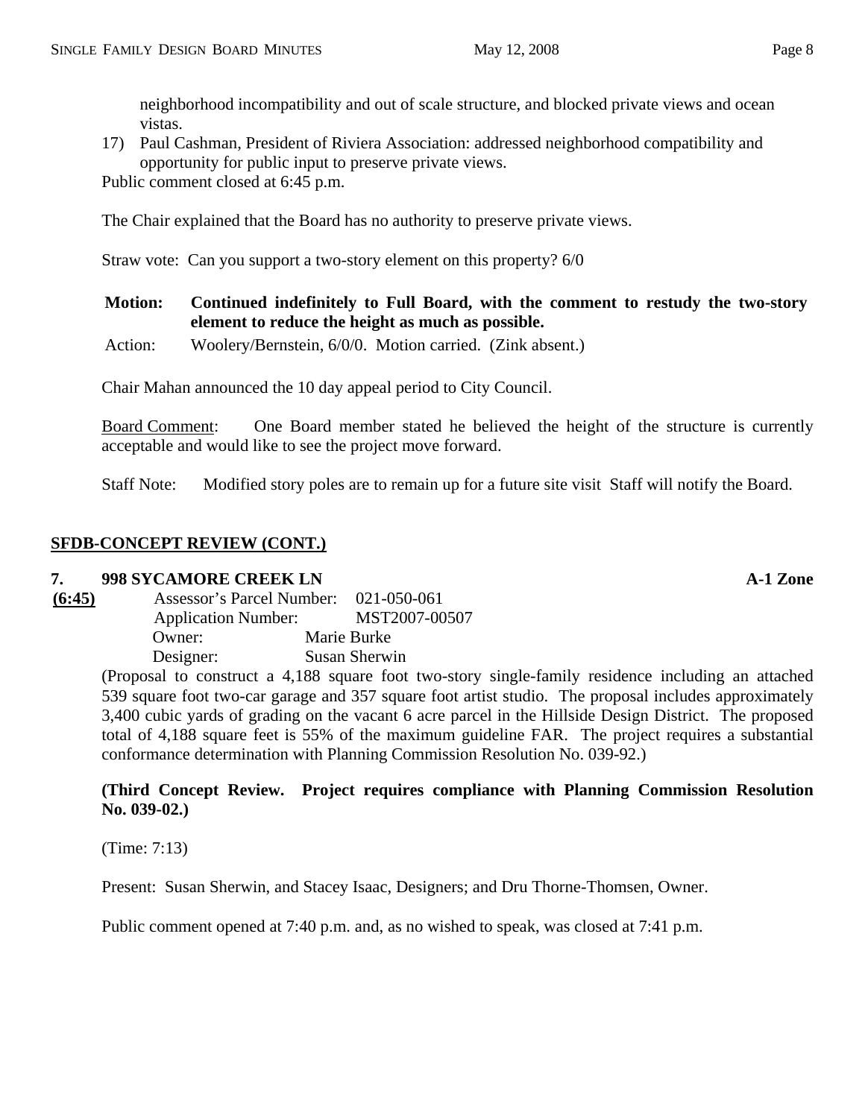neighborhood incompatibility and out of scale structure, and blocked private views and ocean vistas.

17) Paul Cashman, President of Riviera Association: addressed neighborhood compatibility and opportunity for public input to preserve private views.

Public comment closed at 6:45 p.m.

The Chair explained that the Board has no authority to preserve private views.

Straw vote: Can you support a two-story element on this property? 6/0

## **Motion: Continued indefinitely to Full Board, with the comment to restudy the two-story element to reduce the height as much as possible.**

Action: Woolery/Bernstein, 6/0/0. Motion carried. (Zink absent.)

Chair Mahan announced the 10 day appeal period to City Council.

Board Comment: One Board member stated he believed the height of the structure is currently acceptable and would like to see the project move forward.

Staff Note: Modified story poles are to remain up for a future site visit Staff will notify the Board.

## **SFDB-CONCEPT REVIEW (CONT.)**

## **7. 998 SYCAMORE CREEK LN A-1 Zone**

| (6:45) | Assessor's Parcel Number: 021-050-061 |               |
|--------|---------------------------------------|---------------|
|        | <b>Application Number:</b>            | MST2007-00507 |
|        | Owner:                                | Marie Burke   |
|        | Designer:                             | Susan Sherwin |

(Proposal to construct a 4,188 square foot two-story single-family residence including an attached 539 square foot two-car garage and 357 square foot artist studio. The proposal includes approximately 3,400 cubic yards of grading on the vacant 6 acre parcel in the Hillside Design District. The proposed total of 4,188 square feet is 55% of the maximum guideline FAR. The project requires a substantial conformance determination with Planning Commission Resolution No. 039-92.)

## **(Third Concept Review. Project requires compliance with Planning Commission Resolution No. 039-02.)**

(Time: 7:13)

Present: Susan Sherwin, and Stacey Isaac, Designers; and Dru Thorne-Thomsen, Owner.

Public comment opened at 7:40 p.m. and, as no wished to speak, was closed at 7:41 p.m.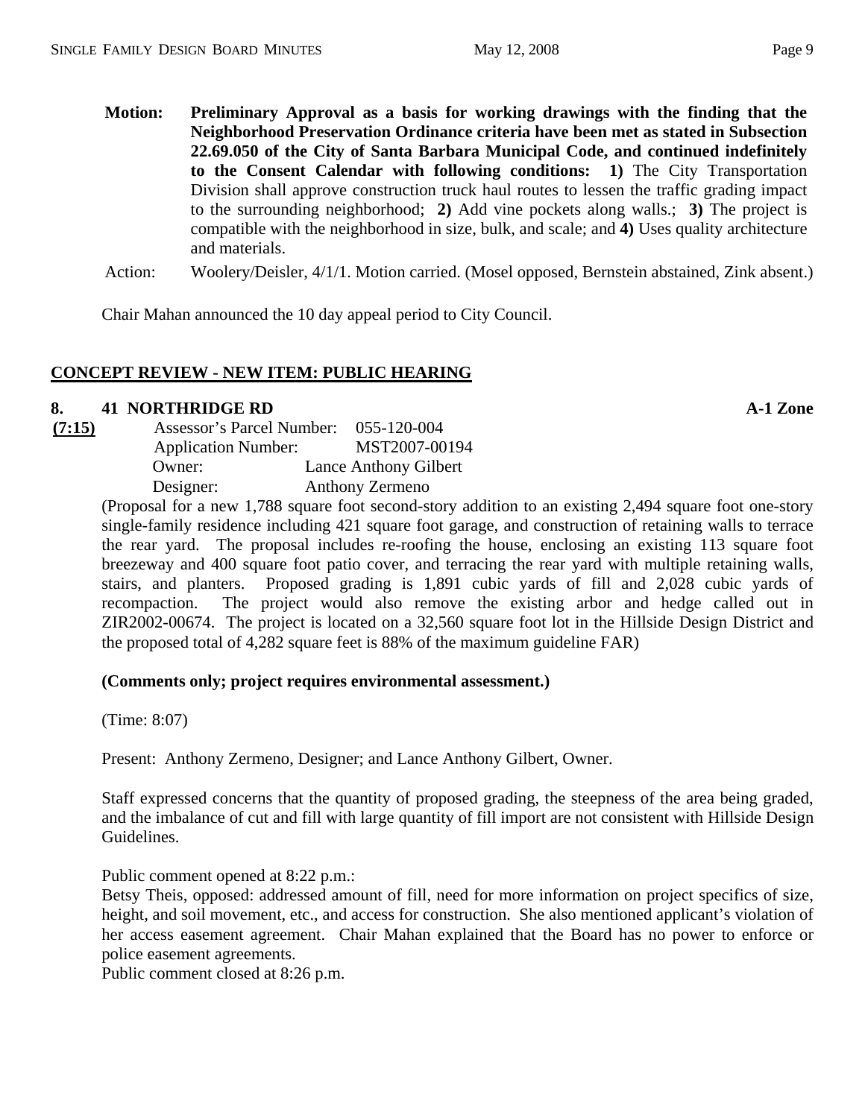- **Motion: Preliminary Approval as a basis for working drawings with the finding that the Neighborhood Preservation Ordinance criteria have been met as stated in Subsection 22.69.050 of the City of Santa Barbara Municipal Code, and continued indefinitely to the Consent Calendar with following conditions: 1)** The City Transportation Division shall approve construction truck haul routes to lessen the traffic grading impact to the surrounding neighborhood; **2)** Add vine pockets along walls.; **3)** The project is compatible with the neighborhood in size, bulk, and scale; and **4)** Uses quality architecture and materials.
- Action: Woolery/Deisler, 4/1/1. Motion carried. (Mosel opposed, Bernstein abstained, Zink absent.)

Chair Mahan announced the 10 day appeal period to City Council.

## **CONCEPT REVIEW - NEW ITEM: PUBLIC HEARING**

#### **8.** 41 NORTHRIDGE RD **A-1 Zone A-1 Zone**

| (7:15) | Assessor's Parcel Number:  | 055-120-004                  |
|--------|----------------------------|------------------------------|
|        | <b>Application Number:</b> | MST2007-00194                |
|        | Owner:                     | <b>Lance Anthony Gilbert</b> |
|        | Designer:                  | Anthony Zermeno              |

(Proposal for a new 1,788 square foot second-story addition to an existing 2,494 square foot one-story single-family residence including 421 square foot garage, and construction of retaining walls to terrace the rear yard. The proposal includes re-roofing the house, enclosing an existing 113 square foot breezeway and 400 square foot patio cover, and terracing the rear yard with multiple retaining walls, stairs, and planters. Proposed grading is 1,891 cubic yards of fill and 2,028 cubic yards of recompaction. The project would also remove the existing arbor and hedge called out in ZIR2002-00674. The project is located on a 32,560 square foot lot in the Hillside Design District and the proposed total of 4,282 square feet is 88% of the maximum guideline FAR)

#### **(Comments only; project requires environmental assessment.)**

(Time: 8:07)

Present: Anthony Zermeno, Designer; and Lance Anthony Gilbert, Owner.

Staff expressed concerns that the quantity of proposed grading, the steepness of the area being graded, and the imbalance of cut and fill with large quantity of fill import are not consistent with Hillside Design Guidelines.

Public comment opened at 8:22 p.m.:

Betsy Theis, opposed: addressed amount of fill, need for more information on project specifics of size, height, and soil movement, etc., and access for construction. She also mentioned applicant's violation of her access easement agreement. Chair Mahan explained that the Board has no power to enforce or police easement agreements.

Public comment closed at 8:26 p.m.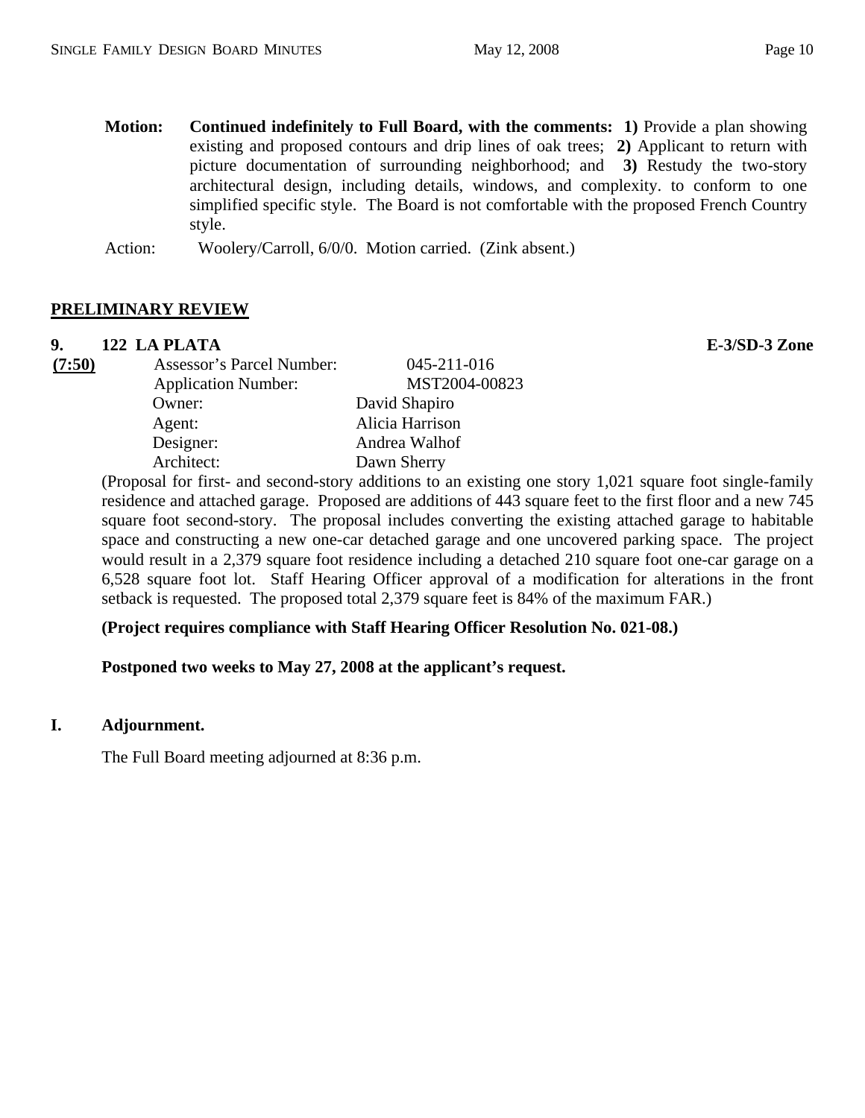**Motion: Continued indefinitely to Full Board, with the comments: 1)** Provide a plan showing existing and proposed contours and drip lines of oak trees; **2)** Applicant to return with picture documentation of surrounding neighborhood; and **3)** Restudy the two-story architectural design, including details, windows, and complexity. to conform to one simplified specific style. The Board is not comfortable with the proposed French Country style.

Action: Woolery/Carroll, 6/0/0. Motion carried. (Zink absent.)

# **PRELIMINARY REVIEW**

## **9. 122 LA PLATA E-3/SD-3 Zone**

| (7:50) | Assessor's Parcel Number:  | 045-211-016     |
|--------|----------------------------|-----------------|
|        | <b>Application Number:</b> | MST2004-00823   |
|        | Owner:                     | David Shapiro   |
|        | Agent:                     | Alicia Harrison |
|        | Designer:                  | Andrea Walhof   |
|        | Architect:                 | Dawn Sherry     |

(Proposal for first- and second-story additions to an existing one story 1,021 square foot single-family residence and attached garage. Proposed are additions of 443 square feet to the first floor and a new 745 square foot second-story. The proposal includes converting the existing attached garage to habitable space and constructing a new one-car detached garage and one uncovered parking space. The project would result in a 2,379 square foot residence including a detached 210 square foot one-car garage on a 6,528 square foot lot. Staff Hearing Officer approval of a modification for alterations in the front setback is requested. The proposed total 2,379 square feet is 84% of the maximum FAR.)

## **(Project requires compliance with Staff Hearing Officer Resolution No. 021-08.)**

 **Postponed two weeks to May 27, 2008 at the applicant's request.** 

## **I. Adjournment.**

The Full Board meeting adjourned at 8:36 p.m.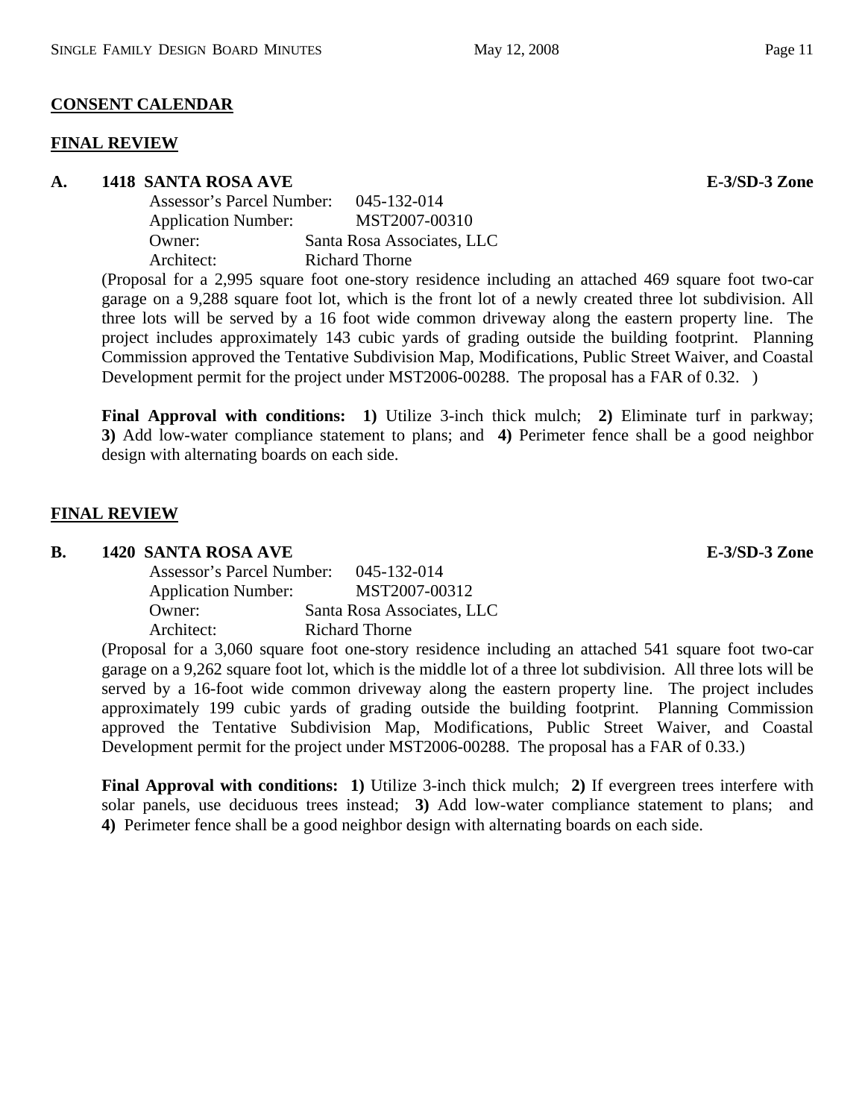#### **CONSENT CALENDAR**

#### **FINAL REVIEW**

#### **A. 1418 SANTA ROSA AVE E-3/SD-3 Zone**

| Assessor's Parcel Number:  | 045-132-014                |
|----------------------------|----------------------------|
| <b>Application Number:</b> | MST2007-00310              |
| Owner:                     | Santa Rosa Associates, LLC |
| Architect:                 | Richard Thorne             |
|                            |                            |

(Proposal for a 2,995 square foot one-story residence including an attached 469 square foot two-car garage on a 9,288 square foot lot, which is the front lot of a newly created three lot subdivision. All three lots will be served by a 16 foot wide common driveway along the eastern property line. The project includes approximately 143 cubic yards of grading outside the building footprint. Planning Commission approved the Tentative Subdivision Map, Modifications, Public Street Waiver, and Coastal Development permit for the project under MST2006-00288. The proposal has a FAR of 0.32. )

**Final Approval with conditions: 1)** Utilize 3-inch thick mulch; **2)** Eliminate turf in parkway; **3)** Add low-water compliance statement to plans; and **4)** Perimeter fence shall be a good neighbor design with alternating boards on each side.

#### **FINAL REVIEW**

#### **B.** 1420 SANTA ROSA AVE **E-3/SD-3** Zone

| Assessor's Parcel Number:  | 045-132-014                |
|----------------------------|----------------------------|
| <b>Application Number:</b> | MST2007-00312              |
| Owner:                     | Santa Rosa Associates, LLC |
| Architect:                 | Richard Thorne             |

(Proposal for a 3,060 square foot one-story residence including an attached 541 square foot two-car garage on a 9,262 square foot lot, which is the middle lot of a three lot subdivision. All three lots will be served by a 16-foot wide common driveway along the eastern property line. The project includes approximately 199 cubic yards of grading outside the building footprint. Planning Commission approved the Tentative Subdivision Map, Modifications, Public Street Waiver, and Coastal Development permit for the project under MST2006-00288. The proposal has a FAR of 0.33.)

**Final Approval with conditions: 1)** Utilize 3-inch thick mulch; **2)** If evergreen trees interfere with solar panels, use deciduous trees instead; **3)** Add low-water compliance statement to plans; and **4)** Perimeter fence shall be a good neighbor design with alternating boards on each side.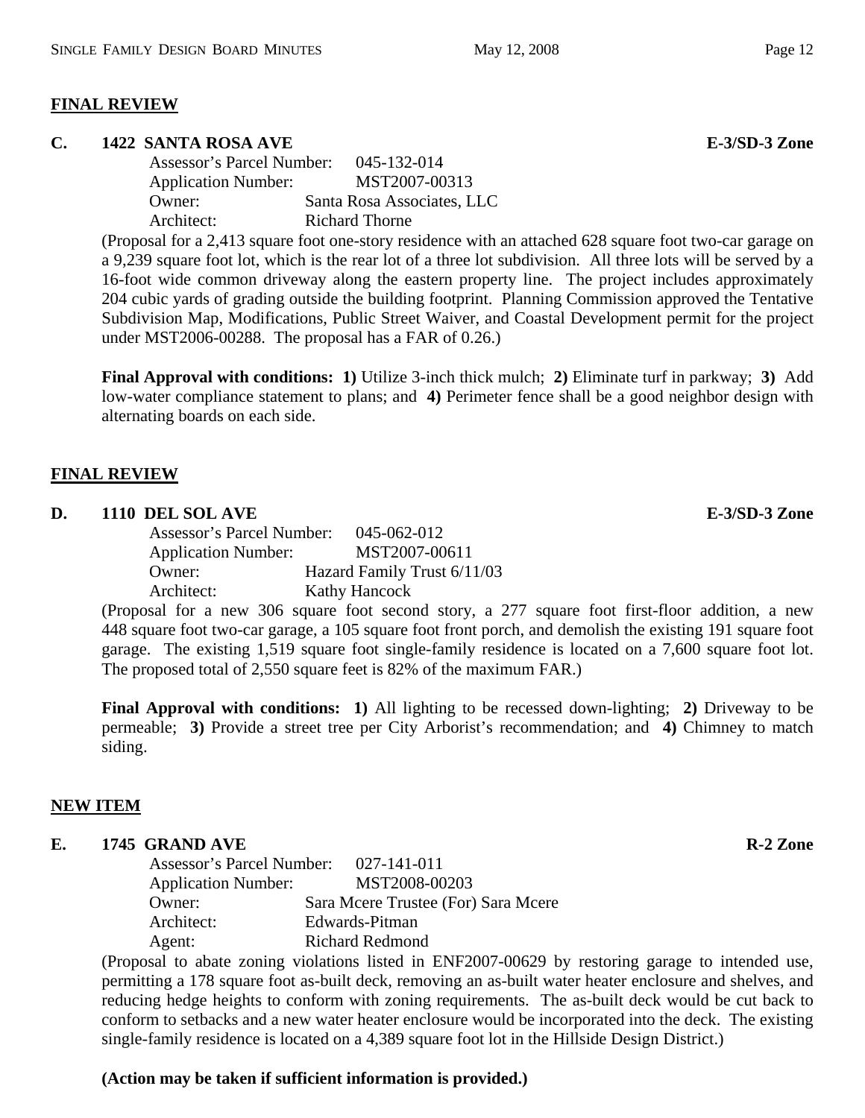#### **FINAL REVIEW**

#### **C.** 1422 SANTA ROSA AVE **E-3/SD-3** Zone

 Assessor's Parcel Number: 045-132-014 Application Number: MST2007-00313 Owner: Santa Rosa Associates, LLC Architect: Richard Thorne

(Proposal for a 2,413 square foot one-story residence with an attached 628 square foot two-car garage on a 9,239 square foot lot, which is the rear lot of a three lot subdivision. All three lots will be served by a 16-foot wide common driveway along the eastern property line. The project includes approximately 204 cubic yards of grading outside the building footprint. Planning Commission approved the Tentative Subdivision Map, Modifications, Public Street Waiver, and Coastal Development permit for the project under MST2006-00288. The proposal has a FAR of 0.26.)

**Final Approval with conditions: 1)** Utilize 3-inch thick mulch; **2)** Eliminate turf in parkway; **3)** Add low-water compliance statement to plans; and **4)** Perimeter fence shall be a good neighbor design with alternating boards on each side.

#### **FINAL REVIEW**

#### **D.** 1110 DEL SOL AVE **E-3/SD-3** Zone

 Assessor's Parcel Number: 045-062-012 Application Number: MST2007-00611 Owner: Hazard Family Trust 6/11/03 Architect: Kathy Hancock

(Proposal for a new 306 square foot second story, a 277 square foot first-floor addition, a new 448 square foot two-car garage, a 105 square foot front porch, and demolish the existing 191 square foot garage. The existing 1,519 square foot single-family residence is located on a 7,600 square foot lot. The proposed total of 2,550 square feet is 82% of the maximum FAR.)

**Final Approval with conditions: 1)** All lighting to be recessed down-lighting; **2)** Driveway to be permeable; **3)** Provide a street tree per City Arborist's recommendation; and **4)** Chimney to match siding.

## **NEW ITEM**

#### **E.** 1745 GRAND AVE **R-2** Zone

 Assessor's Parcel Number: 027-141-011 Application Number: MST2008-00203 Owner: Sara Mcere Trustee (For) Sara Mcere Architect: Edwards-Pitman Agent: Richard Redmond

(Proposal to abate zoning violations listed in ENF2007-00629 by restoring garage to intended use, permitting a 178 square foot as-built deck, removing an as-built water heater enclosure and shelves, and reducing hedge heights to conform with zoning requirements. The as-built deck would be cut back to conform to setbacks and a new water heater enclosure would be incorporated into the deck. The existing single-family residence is located on a 4,389 square foot lot in the Hillside Design District.)

## **(Action may be taken if sufficient information is provided.)**